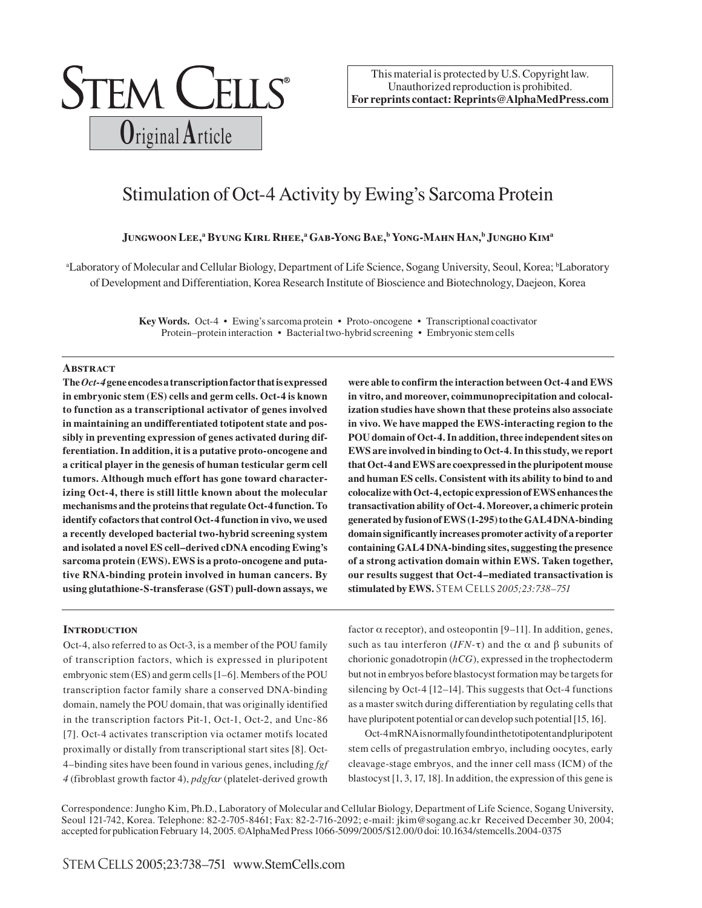

This material is protected by U.S. Copyright law. Unauthorized reproduction is prohibited. **For reprints contact: Reprints@AlphaMedPress.com**

# Stimulation of Oct-4 Activity by Ewing's Sarcoma Protein

# Jungwoon Lee,<sup>a</sup> Byung Kirl Rhee,<sup>a</sup> Gab-Yong Bae,<sup>b</sup> Yong-Mahn Han,<sup>b</sup> Jungho Kim<sup>a</sup>

<sup>a</sup>Laboratory of Molecular and Cellular Biology, Department of Life Science, Sogang University, Seoul, Korea; bLaboratory of Development and Differentiation, Korea Research Institute of Bioscience and Biotechnology, Daejeon, Korea

> **Key Words.** Oct-4 • Ewing's sarcoma protein • Proto-oncogene • Transcriptional coactivator Protein–protein interaction • Bacterial two-hybrid screening • Embryonic stem cells

## **Abstract**

**The** *Oct-4* **gene encodes a transcription factor that is expressed in embryonic stem (ES) cells and germ cells. Oct-4 is known to function as a transcriptional activator of genes involved in maintaining an undifferentiated totipotent state and possibly in preventing expression of genes activated during differentiation. In addition, it is a putative proto-oncogene and a critical player in the genesis of human testicular germ cell tumors. Although much effort has gone toward characterizing Oct-4, there is still little known about the molecular mechanisms and the proteins that regulate Oct-4 function. To identify cofactors that control Oct-4 function in vivo, we used a recently developed bacterial two-hybrid screening system and isolated a novel ES cell–derived cDNA encoding Ewing's sarcoma protein (EWS). EWS is a proto-oncogene and putative RNA-binding protein involved in human cancers. By using glutathione-S-transferase (GST) pull-down assays, we**

## **INTRODUCTION**

Oct-4, also referred to as Oct-3, is a member of the POU family of transcription factors, which is expressed in pluripotent embryonic stem (ES) and germ cells [1–6]. Members of the POU transcription factor family share a conserved DNA-binding domain, namely the POU domain, that was originally identified in the transcription factors Pit-1, Oct-1, Oct-2, and Unc-86 [7]. Oct-4 activates transcription via octamer motifs located proximally or distally from transcriptional start sites [8]. Oct-4–binding sites have been found in various genes, including *fgf 4* (fibroblast growth factor 4), *pdgf*α*r* (platelet-derived growth

**were able to confirm the interaction between Oct-4 and EWS in vitro, and moreover, coimmunoprecipitation and colocalization studies have shown that these proteins also associate in vivo. We have mapped the EWS-interacting region to the POU domain of Oct-4. In addition, three independent sites on EWS are involved in binding to Oct-4. In this study, we report that Oct-4 and EWS are coexpressed in the pluripotent mouse and human ES cells. Consistent with its ability to bind to and colocalize with Oct-4, ectopic expression of EWS enhances the transactivation ability of Oct-4. Moreover, a chimeric protein generated by fusion of EWS (1-295) to the GAL4 DNA-binding domain significantly increases promoter activity of a reporter containing GAL4 DNA-binding sites, suggesting the presence of a strong activation domain within EWS. Taken together, our results suggest that Oct-4–mediated transactivation is stimulated by EWS.** Stem Cells *2005;23:738–751*

factor  $\alpha$  receptor), and osteopontin [9–11]. In addition, genes, such as tau interferon ( $IFN-\tau$ ) and the  $\alpha$  and  $\beta$  subunits of chorionic gonadotropin (*hCG*), expressed in the trophectoderm but not in embryos before blastocyst formation may be targets for silencing by Oct-4 [12–14]. This suggests that Oct-4 functions as a master switch during differentiation by regulating cells that have pluripotent potential or can develop such potential [15, 16].

Oct-4 mRNA is normally found in the totipotent and pluripotent stem cells of pregastrulation embryo, including oocytes, early cleavage-stage embryos, and the inner cell mass (ICM) of the blastocyst [1, 3, 17, 18]. In addition, the expression of this gene is

Correspondence: Jungho Kim, Ph.D., Laboratory of Molecular and Cellular Biology, Department of Life Science, Sogang University, Seoul 121-742, Korea. Telephone: 82-2-705-8461; Fax: 82-2-716-2092; e-mail: jkim@sogang.ac.kr Received December 30, 2004; accepted for publication February 14, 2005. ©AlphaMed Press 1066-5099/2005/\$12.00/0 doi: 10.1634/stemcells.2004-0375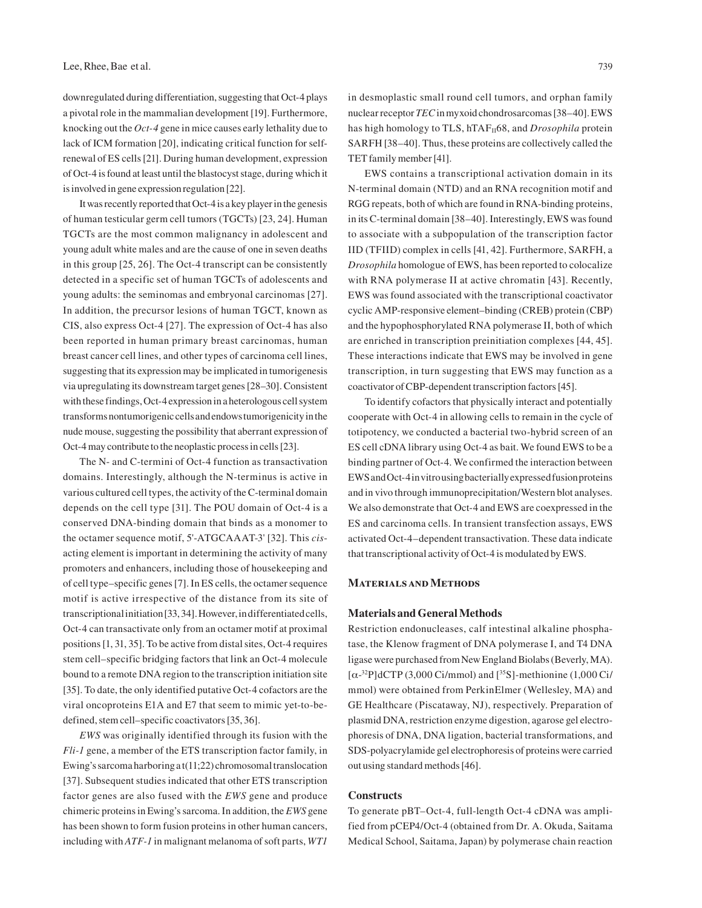downregulated during differentiation, suggesting that Oct-4 plays a pivotal role in the mammalian development [19]. Furthermore, knocking out the *Oct-4* gene in mice causes early lethality due to lack of ICM formation [20], indicating critical function for selfrenewal of ES cells [21]. During human development, expression of Oct-4 is found at least until the blastocyst stage, during which it is involved in gene expression regulation [22].

It was recently reported that Oct-4 is a key player in the genesis of human testicular germ cell tumors (TGCTs) [23, 24]. Human TGCTs are the most common malignancy in adolescent and young adult white males and are the cause of one in seven deaths in this group [25, 26]. The Oct-4 transcript can be consistently detected in a specific set of human TGCTs of adolescents and young adults: the seminomas and embryonal carcinomas [27]. In addition, the precursor lesions of human TGCT, known as CIS, also express Oct-4 [27]. The expression of Oct-4 has also been reported in human primary breast carcinomas, human breast cancer cell lines, and other types of carcinoma cell lines, suggesting that its expression may be implicated in tumorigenesis via upregulating its downstream target genes [28–30]. Consistent with these findings, Oct-4 expression in a heterologous cell system transforms nontumorigenic cells and endows tumorigenicity in the nude mouse, suggesting the possibility that aberrant expression of Oct-4 may contribute to the neoplastic process in cells [23].

The N- and C-termini of Oct-4 function as transactivation domains. Interestingly, although the N-terminus is active in various cultured cell types, the activity of the C-terminal domain depends on the cell type [31]. The POU domain of Oct-4 is a conserved DNA-binding domain that binds as a monomer to the octamer sequence motif, 5'-ATGCAAAT-3' [32]. This *cis*acting element is important in determining the activity of many promoters and enhancers, including those of housekeeping and of cell type–specific genes [7]. In ES cells, the octamer sequence motif is active irrespective of the distance from its site of transcriptional initiation [33, 34]. However, in differentiated cells, Oct-4 can transactivate only from an octamer motif at proximal positions [1, 31, 35]. To be active from distal sites, Oct-4 requires stem cell–specific bridging factors that link an Oct-4 molecule bound to a remote DNA region to the transcription initiation site [35]. To date, the only identified putative Oct-4 cofactors are the viral oncoproteins E1A and E7 that seem to mimic yet-to-bedefined, stem cell–specific coactivators [35, 36].

*EWS* was originally identified through its fusion with the *Fli-1* gene, a member of the ETS transcription factor family, in Ewing's sarcoma harboring a t(11;22) chromosomal translocation [37]. Subsequent studies indicated that other ETS transcription factor genes are also fused with the *EWS* gene and produce chimeric proteins in Ewing's sarcoma. In addition, the *EWS* gene has been shown to form fusion proteins in other human cancers, including with *ATF-1* in malignant melanoma of soft parts, *WT1*

in desmoplastic small round cell tumors, and orphan family nuclear receptor *TEC* in myxoid chondrosarcomas [38–40]. EWS has high homology to TLS, hTAF<sub>II</sub>68, and *Drosophila* protein SARFH [38–40]. Thus, these proteins are collectively called the TET family member [41].

EWS contains a transcriptional activation domain in its N-terminal domain (NTD) and an RNA recognition motif and RGG repeats, both of which are found in RNA-binding proteins, in its C-terminal domain [38–40]. Interestingly, EWS was found to associate with a subpopulation of the transcription factor IID (TFIID) complex in cells [41, 42]. Furthermore, SARFH, a *Drosophila* homologue of EWS, has been reported to colocalize with RNA polymerase II at active chromatin [43]. Recently, EWS was found associated with the transcriptional coactivator cyclic AMP-responsive element–binding (CREB) protein (CBP) and the hypophosphorylated RNA polymerase II, both of which are enriched in transcription preinitiation complexes [44, 45]. These interactions indicate that EWS may be involved in gene transcription, in turn suggesting that EWS may function as a coactivator of CBP-dependent transcription factors [45].

To identify cofactors that physically interact and potentially cooperate with Oct-4 in allowing cells to remain in the cycle of totipotency, we conducted a bacterial two-hybrid screen of an ES cell cDNA library using Oct-4 as bait. We found EWS to be a binding partner of Oct-4. We confirmed the interaction between EWS and Oct-4 in vitro using bacterially expressed fusion proteins and in vivo through immunoprecipitation/Western blot analyses. We also demonstrate that Oct-4 and EWS are coexpressed in the ES and carcinoma cells. In transient transfection assays, EWS activated Oct-4–dependent transactivation. These data indicate that transcriptional activity of Oct-4 is modulated by EWS.

## **Materials and Methods**

## **Materials and General Methods**

Restriction endonucleases, calf intestinal alkaline phosphatase, the Klenow fragment of DNA polymerase I, and T4 DNA ligase were purchased from New England Biolabs (Beverly, MA).  $[\alpha^{-32}P]$ dCTP (3,000 Ci/mmol) and  $[^{35}S]$ -methionine (1,000 Ci/ mmol) were obtained from PerkinElmer (Wellesley, MA) and GE Healthcare (Piscataway, NJ), respectively. Preparation of plasmid DNA, restriction enzyme digestion, agarose gel electrophoresis of DNA, DNA ligation, bacterial transformations, and SDS-polyacrylamide gel electrophoresis of proteins were carried out using standard methods [46].

## **Constructs**

To generate pBT–Oct-4, full-length Oct-4 cDNA was amplified from pCEP4/Oct-4 (obtained from Dr. A. Okuda, Saitama Medical School, Saitama, Japan) by polymerase chain reaction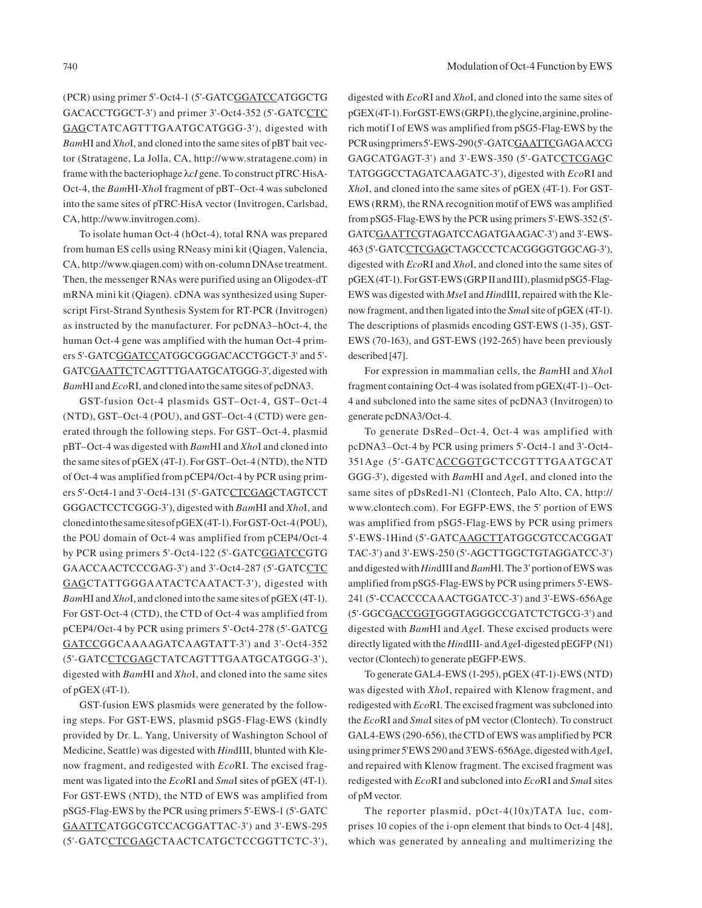(PCR) using primer 5'-Oct4-1 (5'-GATCGGATCCATGGCTG GACACCTGGCT-3') and primer 3'-Oct4-352 (5'-GATCCTC GAGCTATCAGTTTGAATGCATGGG-3'), digested with *Bam*HI and *Xho*I, and cloned into the same sites of pBT bait vector (Stratagene, La Jolla, CA, http://www.stratagene.com) in frame with the bacteriophage λ*cI* gene. To construct pTRC·HisA-Oct-4, the *Bam*HI-*Xho*I fragment of pBT–Oct-4 was subcloned into the same sites of pTRC·HisA vector (Invitrogen, Carlsbad, CA, http://www.invitrogen.com).

To isolate human Oct-4 (hOct-4), total RNA was prepared from human ES cells using RNeasy mini kit (Qiagen, Valencia, CA, http://www.qiagen.com) with on-column DNAse treatment. Then, the messenger RNAs were purified using an Oligodex-dT mRNA mini kit (Qiagen). cDNA was synthesized using Superscript First-Strand Synthesis System for RT-PCR (Invitrogen) as instructed by the manufacturer. For pcDNA3–hOct-4, the human Oct-4 gene was amplified with the human Oct-4 primers 5'-GATCGGATCCATGGCGGGACACCTGGCT-3' and 5'- GATCGAATTCTCAGTTTGAATGCATGGG-3', digested with *Bam*HI and *Eco*RI, and cloned into the same sites of pcDNA3.

GST-fusion Oct-4 plasmids GST–Oct-4, GST–Oct-4 (NTD), GST–Oct-4 (POU), and GST–Oct-4 (CTD) were generated through the following steps. For GST–Oct-4, plasmid pBT–Oct-4 was digested with *Bam*HI and *Xho*I and cloned into the same sites of pGEX (4T-1). For GST–Oct-4 (NTD), the NTD of Oct-4 was amplified from pCEP4/Oct-4 by PCR using primers 5'-Oct4-1 and 3'-Oct4-131 (5'-GATCCTCGAGCTAGTCCT GGGACTCCTCGGG-3'), digested with *Bam*HI and *Xho*I, and cloned into the same sites of pGEX (4T-1). For GST-Oct-4 (POU), the POU domain of Oct-4 was amplified from pCEP4/Oct-4 by PCR using primers 5'-Oct4-122 (5'-GATCGGATCCGTG GAACCAACTCCCGAG-3') and 3'-Oct4-287 (5'-GATCCTC GAGCTATTGGGAATACTCAATACT-3'), digested with *Bam*HI and *Xho*I, and cloned into the same sites of pGEX (4T-1). For GST-Oct-4 (CTD), the CTD of Oct-4 was amplified from pCEP4/Oct-4 by PCR using primers 5'-Oct4-278 (5'-GATCG GATCCGGCAAAAGATCAAGTATT-3') and 3'-Oct4-352 (5'-GATCCTCGAGCTATCAGTTTGAATGCATGGG-3'), digested with *Bam*HI and *Xho*I, and cloned into the same sites of pGEX (4T-1).

GST-fusion EWS plasmids were generated by the following steps. For GST-EWS, plasmid pSG5-Flag-EWS (kindly provided by Dr. L. Yang, University of Washington School of Medicine, Seattle) was digested with *Hin*dIII, blunted with Klenow fragment, and redigested with *Eco*RI. The excised fragment was ligated into the *Eco*RI and *Sma*I sites of pGEX (4T-1). For GST-EWS (NTD), the NTD of EWS was amplified from pSG5-Flag-EWS by the PCR using primers 5'-EWS-1 (5'-GATC GAATTCATGGCGTCCACGGATTAC-3') and 3'-EWS-295 (5'-GATCCTCGAGCTAACTCATGCTCCGGTTCTC-3'),

digested with *Eco*RI and *Xho*I, and cloned into the same sites of pGEX (4T-1). For GST-EWS (GRPI), the glycine, arginine, prolinerich motif I of EWS was amplified from pSG5-Flag-EWS by the PCR using primers 5'-EWS-290 (5'-GATCGAATTCGAGAACCG GAGCATGAGT-3') and 3'-EWS-350 (5'-GATCCTCGAGC TATGGGCCTAGATCAAGATC-3'), digested with *Eco*RI and *Xho*I, and cloned into the same sites of pGEX (4T-1). For GST-EWS (RRM), the RNA recognition motif of EWS was amplified from pSG5-Flag-EWS by the PCR using primers 5'-EWS-352 (5'- GATCGAATTCGTAGATCCAGATGAAGAC-3') and 3'-EWS-463 (5'-GATCCTCGAGCTAGCCCTCACGGGGTGGCAG-3'), digested with *Eco*RI and *Xho*I, and cloned into the same sites of pGEX (4T-1). For GST-EWS (GRP II and III), plasmid pSG5-Flag-EWS was digested with *Mse*I and *Hin*dIII, repaired with the Klenow fragment, and then ligated into the *Sma*I site of pGEX (4T-1). The descriptions of plasmids encoding GST-EWS (1-35), GST-EWS (70-163), and GST-EWS (192-265) have been previously described [47].

For expression in mammalian cells, the *Bam*HI and *Xho*I fragment containing Oct-4 was isolated from pGEX(4T-1)–Oct-4 and subcloned into the same sites of pcDNA3 (Invitrogen) to generate pcDNA3/Oct-4.

To generate DsRed–Oct-4, Oct-4 was amplified with pcDNA3–Oct-4 by PCR using primers 5'-Oct4-1 and 3'-Oct4- 351Age (5'-GATCACCGGTGCTCCGTTTGAATGCAT GGG-3'), digested with *Bam*HI and *Age*I, and cloned into the same sites of pDsRed1-N1 (Clontech, Palo Alto, CA, http:// www.clontech.com). For EGFP-EWS, the 5' portion of EWS was amplified from pSG5-Flag-EWS by PCR using primers 5'-EWS-1Hind (5'-GATCAAGCTTATGGCGTCCACGGAT TAC-3') and 3'-EWS-250 (5'-AGCTTGGCTGTAGGATCC-3') and digested with *Hin*dIII and *Bam*HI. The 3' portion of EWS was amplified from pSG5-Flag-EWS by PCR using primers 5'-EWS-241 (5'-CCACCCCAAACTGGATCC-3') and 3'-EWS-656Age (5'-GGCGACCGGTGGGTAGGGCCGATCTCTGCG-3') and digested with *Bam*HI and *Age*I. These excised products were directly ligated with the *Hin*dIII- and *Age*I-digested pEGFP (N1) vector (Clontech) to generate pEGFP-EWS.

To generate GAL4-EWS (1-295), pGEX (4T-1)-EWS (NTD) was digested with *Xho*I, repaired with Klenow fragment, and redigested with *Eco*RI. The excised fragment was subcloned into the *Eco*RI and *Sma*I sites of pM vector (Clontech). To construct GAL4-EWS (290-656), the CTD of EWS was amplified by PCR using primer 5'EWS 290 and 3'EWS-656Age, digested with *Age*I, and repaired with Klenow fragment. The excised fragment was redigested with *Eco*RI and subcloned into *Eco*RI and *Sma*I sites of pM vector.

The reporter plasmid, pOct-4(10x)TATA luc, comprises 10 copies of the i-opn element that binds to Oct-4 [48], which was generated by annealing and multimerizing the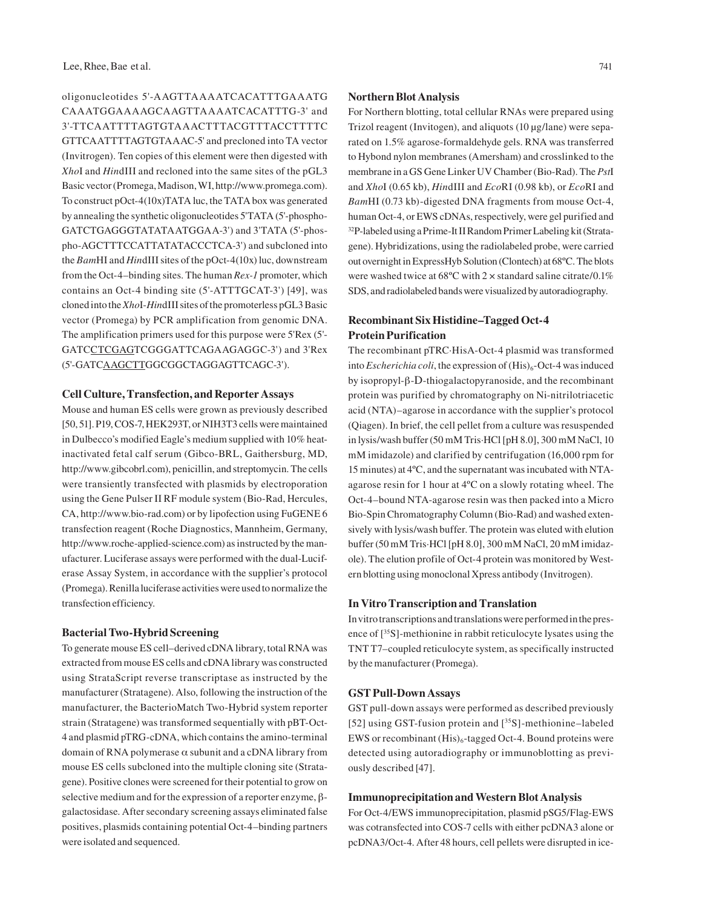oligonucleotides 5'-AAGTTAAAATCACATTTGAAATG CAAATGGAAAAGCAAGTTAAAATCACATTTG-3' and 3'-TTCAATTTTAGTGTAAACTTTACGTTTACCTTTTC GTTCAATTTTAGTGTAAAC-5' and precloned into TA vector (Invitrogen). Ten copies of this element were then digested with *Xho*I and *Hin*dIII and recloned into the same sites of the pGL3 Basic vector (Promega, Madison, WI, http://www.promega.com). To construct pOct-4(10x)TATA luc, the TATA box was generated by annealing the synthetic oligonucleotides 5'TATA (5'-phospho-GATCTGAGGGTATATAATGGAA-3') and 3'TATA (5'-phospho-AGCTTTCCATTATATACCCTCA-3') and subcloned into the *Bam*HI and *Hin*dIII sites of the pOct-4(10x) luc, downstream from the Oct-4–binding sites. The human *Rex-1* promoter, which contains an Oct-4 binding site (5'-ATTTGCAT-3') [49], was cloned into the *Xho*I-*Hin*dIII sites of the promoterless pGL3 Basic vector (Promega) by PCR amplification from genomic DNA. The amplification primers used for this purpose were 5'Rex (5'- GATCCTCGAGTCGGGATTCAGAAGAGGC-3') and 3'Rex (5'-GATCAAGCTTGGCGGCTAGGAGTTCAGC-3').

## **Cell Culture, Transfection, and Reporter Assays**

Mouse and human ES cells were grown as previously described [50, 51]. P19, COS-7, HEK293T, or NIH3T3 cells were maintained in Dulbecco's modified Eagle's medium supplied with 10% heatinactivated fetal calf serum (Gibco-BRL, Gaithersburg, MD, http://www.gibcobrl.com), penicillin, and streptomycin. The cells were transiently transfected with plasmids by electroporation using the Gene Pulser II RF module system (Bio-Rad, Hercules, CA, http://www.bio-rad.com) or by lipofection using FuGENE 6 transfection reagent (Roche Diagnostics, Mannheim, Germany, http://www.roche-applied-science.com) as instructed by the manufacturer. Luciferase assays were performed with the dual-Luciferase Assay System, in accordance with the supplier's protocol (Promega). Renilla luciferase activities were used to normalize the transfection efficiency.

## **Bacterial Two-Hybrid Screening**

To generate mouse ES cell–derived cDNA library, total RNA was extracted from mouse ES cells and cDNA library was constructed using StrataScript reverse transcriptase as instructed by the manufacturer (Stratagene). Also, following the instruction of the manufacturer, the BacterioMatch Two-Hybrid system reporter strain (Stratagene) was transformed sequentially with pBT-Oct-4 and plasmid pTRG-cDNA, which contains the amino-terminal domain of RNA polymerase  $\alpha$  subunit and a cDNA library from mouse ES cells subcloned into the multiple cloning site (Stratagene). Positive clones were screened for their potential to grow on selective medium and for the expression of a reporter enzyme, βgalactosidase. After secondary screening assays eliminated false positives, plasmids containing potential Oct-4–binding partners were isolated and sequenced.

## **Northern Blot Analysis**

For Northern blotting, total cellular RNAs were prepared using Trizol reagent (Invitogen), and aliquots (10 μg/lane) were separated on 1.5% agarose-formaldehyde gels. RNA was transferred to Hybond nylon membranes (Amersham) and crosslinked to the membrane in a GS Gene Linker UV Chamber (Bio-Rad). The *Pst*I and *Xho*I (0.65 kb), *Hin*dIII and *Eco*RI (0.98 kb), or *Eco*RI and *Bam*HI (0.73 kb)-digested DNA fragments from mouse Oct-4, human Oct-4, or EWS cDNAs, respectively, were gel purified and 32P-labeled using a Prime-It II Random Primer Labeling kit (Stratagene). Hybridizations, using the radiolabeled probe, were carried out overnight in ExpressHyb Solution (Clontech) at 68ºC. The blots were washed twice at 68ºC with 2 × standard saline citrate/0.1% SDS, and radiolabeled bands were visualized by autoradiography.

# **Recombinant Six Histidine–Tagged Oct-4 Protein Purification**

The recombinant pTRC·HisA-Oct-4 plasmid was transformed into *Escherichia coli*, the expression of  $(His)_{6}$ -Oct-4 was induced by isopropyl-β-D-thiogalactopyranoside, and the recombinant protein was purified by chromatography on Ni-nitrilotriacetic acid (NTA)–agarose in accordance with the supplier's protocol (Qiagen). In brief, the cell pellet from a culture was resuspended in lysis/wash buffer (50 mM Tris·HCl [pH 8.0], 300 mM NaCl, 10 mM imidazole) and clarified by centrifugation (16,000 rpm for 15 minutes) at 4ºC, and the supernatant was incubated with NTAagarose resin for 1 hour at 4ºC on a slowly rotating wheel. The Oct-4–bound NTA-agarose resin was then packed into a Micro Bio-Spin Chromatography Column (Bio-Rad) and washed extensively with lysis/wash buffer. The protein was eluted with elution buffer (50 mM Tris·HCl [pH 8.0], 300 mM NaCl, 20 mM imidazole). The elution profile of Oct-4 protein was monitored by Western blotting using monoclonal Xpress antibody (Invitrogen).

## **In Vitro Transcription and Translation**

In vitro transcriptions and translations were performed in the presence of [35S]-methionine in rabbit reticulocyte lysates using the TNT T7–coupled reticulocyte system, as specifically instructed by the manufacturer (Promega).

## **GST Pull-Down Assays**

GST pull-down assays were performed as described previously [52] using GST-fusion protein and [<sup>35</sup>S]-methionine–labeled EWS or recombinant  $(His)_6$ -tagged Oct-4. Bound proteins were detected using autoradiography or immunoblotting as previously described [47].

## **Immunoprecipitation and Western Blot Analysis**

For Oct-4/EWS immunoprecipitation, plasmid pSG5/Flag-EWS was cotransfected into COS-7 cells with either pcDNA3 alone or pcDNA3/Oct-4. After 48 hours, cell pellets were disrupted in ice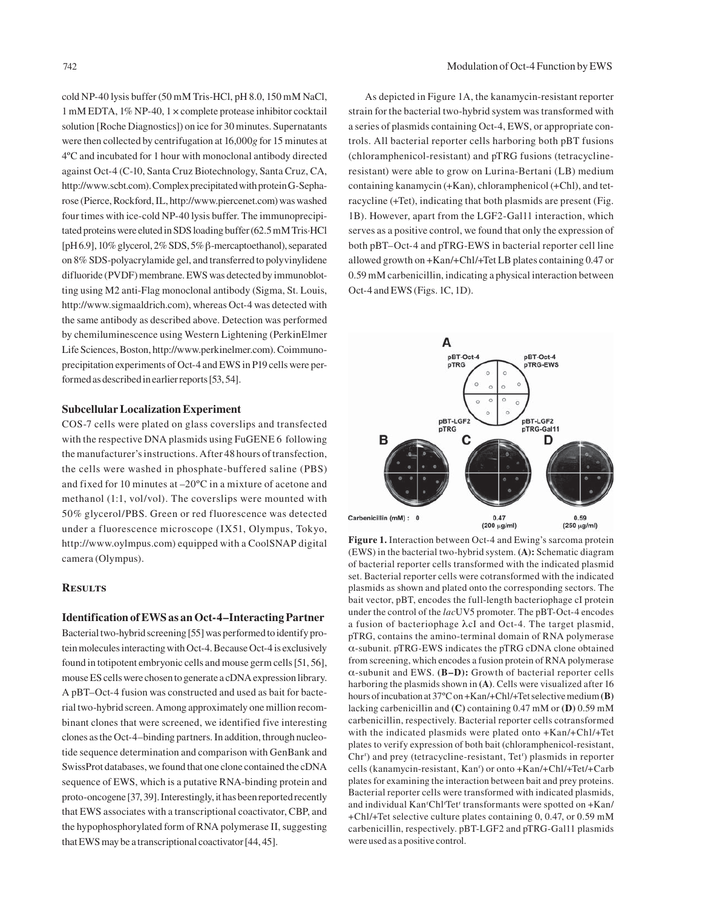cold NP-40 lysis buffer (50 mM Tris-HCl, pH 8.0, 150 mM NaCl, 1 mM EDTA, 1% NP-40, 1 × complete protease inhibitor cocktail solution [Roche Diagnostics]) on ice for 30 minutes. Supernatants were then collected by centrifugation at 16,000*g* for 15 minutes at 4ºC and incubated for 1 hour with monoclonal antibody directed against Oct-4 (C-10, Santa Cruz Biotechnology, Santa Cruz, CA, http://www.scbt.com). Complex precipitated with protein G-Sepharose (Pierce, Rockford, IL, http://www.piercenet.com) was washed four times with ice-cold NP-40 lysis buffer. The immunoprecipitated proteins were eluted in SDS loading buffer (62.5 mM Tris·HCl [pH 6.9], 10% glycerol, 2% SDS, 5% β-mercaptoethanol), separated on 8% SDS-polyacrylamide gel, and transferred to polyvinylidene difluoride (PVDF) membrane. EWS was detected by immunoblotting using M2 anti-Flag monoclonal antibody (Sigma, St. Louis, http://www.sigmaaldrich.com), whereas Oct-4 was detected with the same antibody as described above. Detection was performed by chemiluminescence using Western Lightening (PerkinElmer Life Sciences, Boston, http://www.perkinelmer.com). Coimmunoprecipitation experiments of Oct-4 and EWS in P19 cells were performed as described in earlier reports [53, 54].

## **Subcellular Localization Experiment**

COS-7 cells were plated on glass coverslips and transfected with the respective DNA plasmids using FuGENE 6 following the manufacturer's instructions. After 48 hours of transfection, the cells were washed in phosphate-buffered saline (PBS) and fixed for 10 minutes at –20ºC in a mixture of acetone and methanol (1:1, vol/vol). The coverslips were mounted with 50% glycerol/PBS. Green or red fluorescence was detected under a fluorescence microscope (IX51, Olympus, Tokyo, http://www.oylmpus.com) equipped with a CoolSNAP digital camera (Olympus).

## **Results**

## **Identification of EWS as an Oct-4–Interacting Partner**

Bacterial two-hybrid screening [55] was performed to identify protein molecules interacting with Oct-4. Because Oct-4 is exclusively found in totipotent embryonic cells and mouse germ cells [51, 56], mouse ES cells were chosen to generate a cDNA expression library. A pBT–Oct-4 fusion was constructed and used as bait for bacterial two-hybrid screen. Among approximately one million recombinant clones that were screened, we identified five interesting clones as the Oct-4–binding partners. In addition, through nucleotide sequence determination and comparison with GenBank and SwissProt databases, we found that one clone contained the cDNA sequence of EWS, which is a putative RNA-binding protein and proto-oncogene [37, 39]. Interestingly, it has been reported recently that EWS associates with a transcriptional coactivator, CBP, and the hypophosphorylated form of RNA polymerase II, suggesting that EWS may be a transcriptional coactivator [44, 45].

As depicted in Figure 1A, the kanamycin-resistant reporter strain for the bacterial two-hybrid system was transformed with a series of plasmids containing Oct-4, EWS, or appropriate controls. All bacterial reporter cells harboring both pBT fusions (chloramphenicol-resistant) and pTRG fusions (tetracyclineresistant) were able to grow on Lurina-Bertani (LB) medium containing kanamycin (+Kan), chloramphenicol (+Chl), and tetracycline (+Tet), indicating that both plasmids are present (Fig. 1B). However, apart from the LGF2-Gal11 interaction, which serves as a positive control, we found that only the expression of both pBT–Oct-4 and pTRG-EWS in bacterial reporter cell line allowed growth on +Kan/+Chl/+Tet LB plates containing 0.47 or 0.59 mM carbenicillin, indicating a physical interaction between Oct-4 and EWS (Figs. 1C, 1D).



**Figure 1.** Interaction between Oct-4 and Ewing's sarcoma protein (EWS) in the bacterial two-hybrid system. **(A):** Schematic diagram of bacterial reporter cells transformed with the indicated plasmid set. Bacterial reporter cells were cotransformed with the indicated plasmids as shown and plated onto the corresponding sectors. The bait vector, pBT, encodes the full-length bacteriophage cI protein under the control of the *lac*UV5 promoter. The pBT-Oct-4 encodes a fusion of bacteriophage λcI and Oct-4. The target plasmid, pTRG, contains the amino-terminal domain of RNA polymerase α-subunit. pTRG-EWS indicates the pTRG cDNA clone obtained from screening, which encodes a fusion protein of RNA polymerase α-subunit and EWS. **(B–D):** Growth of bacterial reporter cells harboring the plasmids shown in **(A)**. Cells were visualized after 16 hours of incubation at 37ºC on +Kan/+Chl/+Tet selective medium **(B)**  lacking carbenicillin and **(C)** containing 0.47 mM or **(D)** 0.59 mM carbenicillin, respectively. Bacterial reporter cells cotransformed with the indicated plasmids were plated onto +Kan/+Chl/+Tet plates to verify expression of both bait (chloramphenicol-resistant, Chrr ) and prey (tetracycline-resistant, Tetr ) plasmids in reporter cells (kanamycin-resistant, Kanr ) or onto +Kan/+Chl/+Tet/+Carb plates for examining the interaction between bait and prey proteins. Bacterial reporter cells were transformed with indicated plasmids, and individual Kanr Chlr Tetr transformants were spotted on +Kan/ +Chl/+Tet selective culture plates containing 0, 0.47, or 0.59 mM carbenicillin, respectively. pBT-LGF2 and pTRG-Gal11 plasmids were used as a positive control.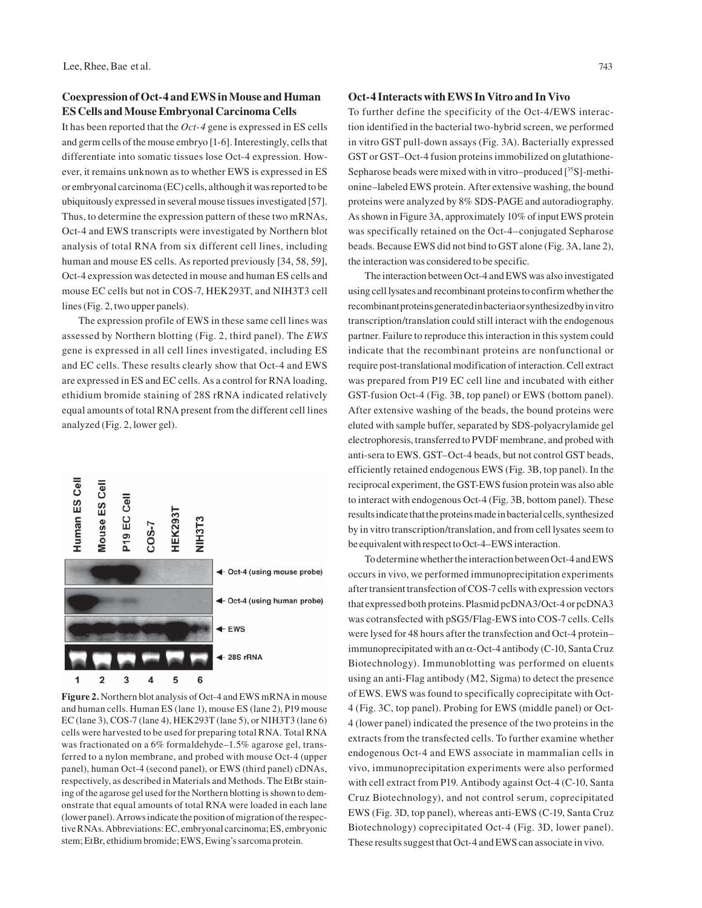## **Coexpression of Oct-4 and EWS in Mouse and Human ES Cells and Mouse Embryonal Carcinoma Cells**

It has been reported that the *Oct-4* gene is expressed in ES cells and germ cells of the mouse embryo [1-6]. Interestingly, cells that differentiate into somatic tissues lose Oct-4 expression. However, it remains unknown as to whether EWS is expressed in ES or embryonal carcinoma (EC) cells, although it was reported to be ubiquitously expressed in several mouse tissues investigated [57]. Thus, to determine the expression pattern of these two mRNAs, Oct-4 and EWS transcripts were investigated by Northern blot analysis of total RNA from six different cell lines, including human and mouse ES cells. As reported previously [34, 58, 59], Oct-4 expression was detected in mouse and human ES cells and mouse EC cells but not in COS-7, HEK293T, and NIH3T3 cell lines (Fig. 2, two upper panels).

The expression profile of EWS in these same cell lines was assessed by Northern blotting (Fig. 2, third panel). The *EWS* gene is expressed in all cell lines investigated, including ES and EC cells. These results clearly show that Oct-4 and EWS are expressed in ES and EC cells. As a control for RNA loading, ethidium bromide staining of 28S rRNA indicated relatively equal amounts of total RNA present from the different cell lines analyzed (Fig. 2, lower gel).



**Figure 2.** Northern blot analysis of Oct-4 and EWS mRNA in mouse and human cells. Human ES (lane 1), mouse ES (lane 2), P19 mouse EC (lane 3), COS-7 (lane 4), HEK293T (lane 5), or NIH3T3 (lane 6) cells were harvested to be used for preparing total RNA. Total RNA was fractionated on a 6% formaldehyde–1.5% agarose gel, transferred to a nylon membrane, and probed with mouse Oct-4 (upper panel), human Oct-4 (second panel), or EWS (third panel) cDNAs, respectively, as described in Materials and Methods. The EtBr staining of the agarose gel used for the Northern blotting is shown to demonstrate that equal amounts of total RNA were loaded in each lane (lower panel). Arrows indicate the position of migration of the respective RNAs. Abbreviations: EC, embryonal carcinoma; ES, embryonic stem; EtBr, ethidium bromide; EWS, Ewing's sarcoma protein.

## **Oct-4 Interacts with EWS In Vitro and In Vivo**

To further define the specificity of the Oct-4/EWS interaction identified in the bacterial two-hybrid screen, we performed in vitro GST pull-down assays (Fig. 3A). Bacterially expressed GST or GST–Oct-4 fusion proteins immobilized on glutathione-Sepharose beads were mixed with in vitro–produced [<sup>35</sup>S]-methionine–labeled EWS protein. After extensive washing, the bound proteins were analyzed by 8% SDS-PAGE and autoradiography. As shown in Figure 3A, approximately 10% of input EWS protein was specifically retained on the Oct-4–conjugated Sepharose beads. Because EWS did not bind to GST alone (Fig. 3A, lane 2), the interaction was considered to be specific.

The interaction between Oct-4 and EWS was also investigated using cell lysates and recombinant proteins to confirm whether the recombinant proteins generated in bacteria or synthesized by in vitro transcription/translation could still interact with the endogenous partner. Failure to reproduce this interaction in this system could indicate that the recombinant proteins are nonfunctional or require post-translational modification of interaction. Cell extract was prepared from P19 EC cell line and incubated with either GST-fusion Oct-4 (Fig. 3B, top panel) or EWS (bottom panel). After extensive washing of the beads, the bound proteins were eluted with sample buffer, separated by SDS-polyacrylamide gel electrophoresis, transferred to PVDF membrane, and probed with anti-sera to EWS. GST–Oct-4 beads, but not control GST beads, efficiently retained endogenous EWS (Fig. 3B, top panel). In the reciprocal experiment, the GST-EWS fusion protein was also able to interact with endogenous Oct-4 (Fig. 3B, bottom panel). These results indicate that the proteins made in bacterial cells, synthesized by in vitro transcription/translation, and from cell lysates seem to be equivalent with respect to Oct-4–EWS interaction.

To determine whether the interaction between Oct-4 and EWS occurs in vivo, we performed immunoprecipitation experiments after transient transfection of COS-7 cells with expression vectors that expressed both proteins. Plasmid pcDNA3/Oct-4 or pcDNA3 was cotransfected with pSG5/Flag-EWS into COS-7 cells. Cells were lysed for 48 hours after the transfection and Oct-4 protein– immunoprecipitated with an  $\alpha$ -Oct-4 antibody (C-10, Santa Cruz Biotechnology). Immunoblotting was performed on eluents using an anti-Flag antibody (M2, Sigma) to detect the presence of EWS. EWS was found to specifically coprecipitate with Oct-4 (Fig. 3C, top panel). Probing for EWS (middle panel) or Oct-4 (lower panel) indicated the presence of the two proteins in the extracts from the transfected cells. To further examine whether endogenous Oct-4 and EWS associate in mammalian cells in vivo, immunoprecipitation experiments were also performed with cell extract from P19. Antibody against Oct-4 (C-10, Santa Cruz Biotechnology), and not control serum, coprecipitated EWS (Fig. 3D, top panel), whereas anti-EWS (C-19, Santa Cruz Biotechnology) coprecipitated Oct-4 (Fig. 3D, lower panel). These results suggest that Oct-4 and EWS can associate in vivo.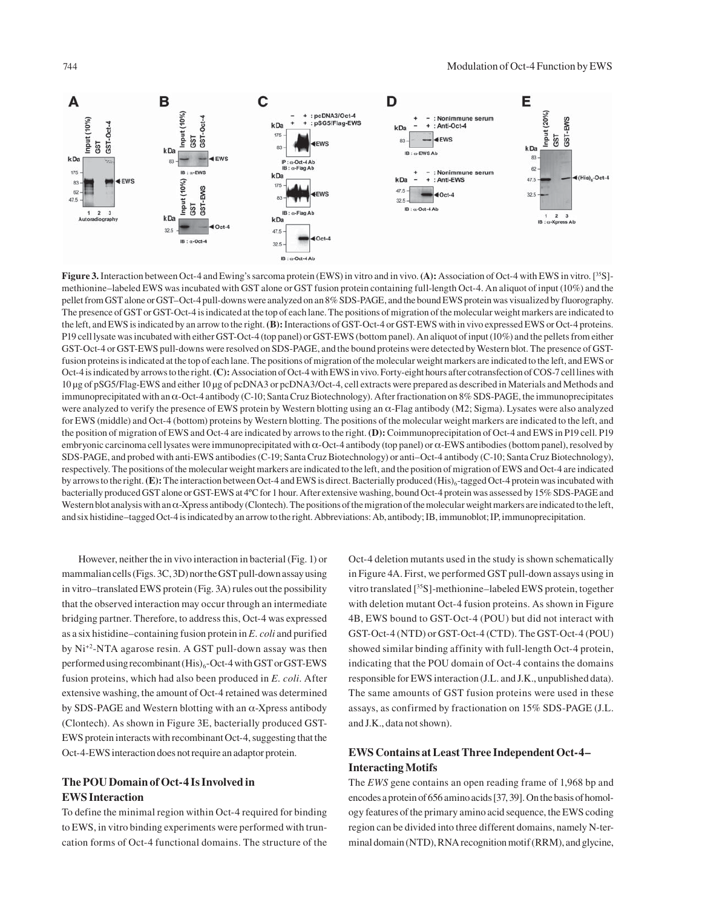

**Figure 3.** Interaction between Oct-4 and Ewing's sarcoma protein (EWS) in vitro and in vivo. **(A):** Association of Oct-4 with EWS in vitro. [35S] methionine–labeled EWS was incubated with GST alone or GST fusion protein containing full-length Oct-4. An aliquot of input (10%) and the pellet from GST alone or GST–Oct-4 pull-downs were analyzed on an 8% SDS-PAGE, and the bound EWS protein was visualized by fluorography. The presence of GST or GST-Oct-4 is indicated at the top of each lane. The positions of migration of the molecular weight markers are indicated to the left, and EWS is indicated by an arrow to the right. **(B):** Interactions of GST-Oct-4 or GST-EWS with in vivo expressed EWS or Oct-4 proteins. P19 cell lysate was incubated with either GST-Oct-4 (top panel) or GST-EWS (bottom panel). An aliquot of input (10%) and the pellets from either GST-Oct-4 or GST-EWS pull-downs were resolved on SDS-PAGE, and the bound proteins were detected by Western blot. The presence of GSTfusion proteins is indicated at the top of each lane. The positions of migration of the molecular weight markers are indicated to the left, and EWS or Oct-4 is indicated by arrows to the right. **(C):** Association of Oct-4 with EWS in vivo. Forty-eight hours after cotransfection of COS-7 cell lines with 10 μg of pSG5/Flag-EWS and either 10 μg of pcDNA3 or pcDNA3/Oct-4, cell extracts were prepared as described in Materials and Methods and immunoprecipitated with an α-Oct-4 antibody (C-10; Santa Cruz Biotechnology). After fractionation on 8% SDS-PAGE, the immunoprecipitates were analyzed to verify the presence of EWS protein by Western blotting using an α-Flag antibody (M2; Sigma). Lysates were also analyzed for EWS (middle) and Oct-4 (bottom) proteins by Western blotting. The positions of the molecular weight markers are indicated to the left, and the position of migration of EWS and Oct-4 are indicated by arrows to the right. **(D):** Coimmunoprecipitation of Oct-4 and EWS in P19 cell. P19 embryonic carcinoma cell lysates were immunoprecipitated with α-Oct-4 antibody (top panel) or α-EWS antibodies (bottom panel), resolved by SDS-PAGE, and probed with anti-EWS antibodies (C-19; Santa Cruz Biotechnology) or anti–Oct-4 antibody (C-10; Santa Cruz Biotechnology), respectively. The positions of the molecular weight markers are indicated to the left, and the position of migration of EWS and Oct-4 are indicated by arrows to the right. **(E):** The interaction between Oct-4 and EWS is direct. Bacterially produced (His)<sub>6</sub>-tagged Oct-4 protein was incubated with bacterially produced GST alone or GST-EWS at 4ºC for 1 hour. After extensive washing, bound Oct-4 protein was assessed by 15% SDS-PAGE and Western blot analysis with an  $\alpha$ -Xpress antibody (Clontech). The positions of the migration of the molecular weight markers are indicated to the left, and six histidine–tagged Oct-4 is indicated by an arrow to the right. Abbreviations: Ab, antibody; IB, immunoblot; IP, immunoprecipitation.

However, neither the in vivo interaction in bacterial (Fig. 1) or mammalian cells (Figs. 3C, 3D) nor the GST pull-down assay using in vitro–translated EWS protein (Fig. 3A) rules out the possibility that the observed interaction may occur through an intermediate bridging partner. Therefore, to address this, Oct-4 was expressed as a six histidine–containing fusion protein in *E. coli* and purified by Ni+2-NTA agarose resin. A GST pull-down assay was then performed using recombinant  $(His)_{6}$ -Oct-4 with GST or GST-EWS fusion proteins, which had also been produced in *E. coli*. After extensive washing, the amount of Oct-4 retained was determined by SDS-PAGE and Western blotting with an  $\alpha$ -Xpress antibody (Clontech). As shown in Figure 3E, bacterially produced GST-EWS protein interacts with recombinant Oct-4, suggesting that the Oct-4-EWS interaction does not require an adaptor protein.

# **The POU Domain of Oct-4 Is Involved in EWS Interaction**

To define the minimal region within Oct-4 required for binding to EWS, in vitro binding experiments were performed with truncation forms of Oct-4 functional domains. The structure of the

Oct-4 deletion mutants used in the study is shown schematically in Figure 4A. First, we performed GST pull-down assays using in vitro translated [35S]-methionine–labeled EWS protein, together with deletion mutant Oct-4 fusion proteins. As shown in Figure 4B, EWS bound to GST-Oct-4 (POU) but did not interact with GST-Oct-4 (NTD) or GST-Oct-4 (CTD). The GST-Oct-4 (POU) showed similar binding affinity with full-length Oct-4 protein, indicating that the POU domain of Oct-4 contains the domains responsible for EWS interaction (J.L. and J.K., unpublished data). The same amounts of GST fusion proteins were used in these assays, as confirmed by fractionation on 15% SDS-PAGE (J.L. and J.K., data not shown).

## **EWS Contains at Least Three Independent Oct-4– Interacting Motifs**

The *EWS* gene contains an open reading frame of 1,968 bp and encodes a protein of 656 amino acids [37, 39]. On the basis of homology features of the primary amino acid sequence, the EWS coding region can be divided into three different domains, namely N-terminal domain (NTD), RNA recognition motif (RRM), and glycine,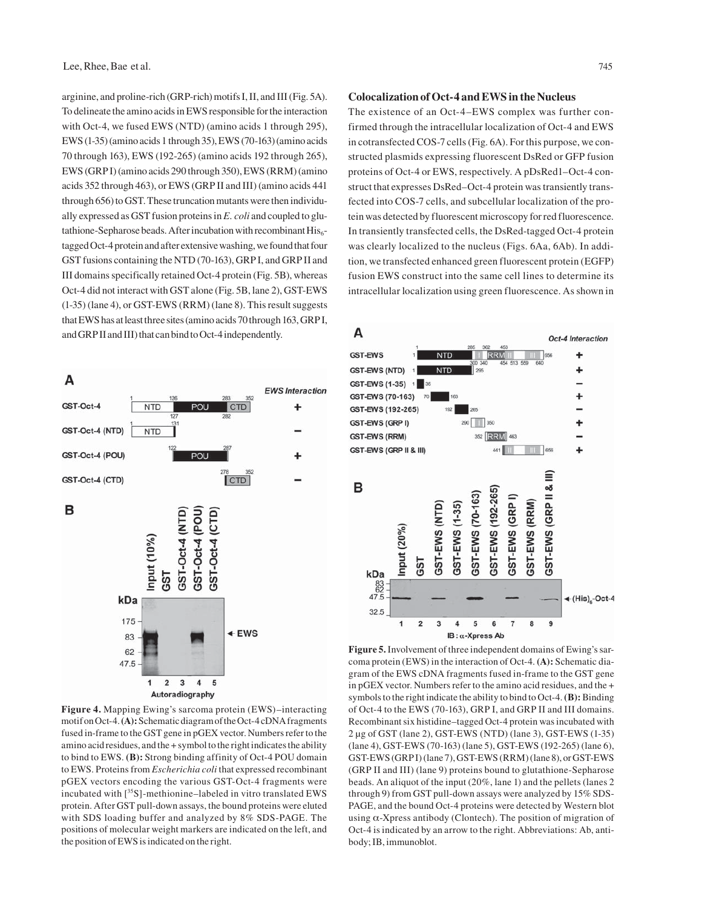arginine, and proline-rich (GRP-rich) motifs I, II, and III (Fig. 5A). To delineate the amino acids in EWS responsible for the interaction with Oct-4, we fused EWS (NTD) (amino acids 1 through 295), EWS (1-35) (amino acids 1 through 35), EWS (70-163) (amino acids 70 through 163), EWS (192-265) (amino acids 192 through 265), EWS (GRP I) (amino acids 290 through 350), EWS (RRM) (amino acids 352 through 463), or EWS (GRP II and III) (amino acids 441 through 656) to GST. These truncation mutants were then individually expressed as GST fusion proteins in *E. coli* and coupled to glutathione-Sepharose beads. After incubation with recombinant  $His<sub>6</sub>$ tagged Oct-4 protein and after extensive washing, we found that four GST fusions containing the NTD (70-163), GRP I, and GRP II and III domains specifically retained Oct-4 protein (Fig. 5B), whereas Oct-4 did not interact with GST alone (Fig. 5B, lane 2), GST-EWS (1-35) (lane 4), or GST-EWS (RRM) (lane 8). This result suggests that EWS has at least three sites (amino acids 70 through 163, GRP I, and GRP II and III) that can bind to Oct-4 independently.



**Figure 4.** Mapping Ewing's sarcoma protein (EWS)–interacting motif on Oct-4. **(A):** Schematic diagram of the Oct-4 cDNA fragments fused in-frame to the GST gene in pGEX vector. Numbers refer to the amino acid residues, and the + symbol to the right indicates the ability to bind to EWS. **(B):** Strong binding affinity of Oct-4 POU domain to EWS. Proteins from *Escherichia coli* that expressed recombinant pGEX vectors encoding the various GST-Oct-4 fragments were incubated with [35S]-methionine–labeled in vitro translated EWS protein. After GST pull-down assays, the bound proteins were eluted with SDS loading buffer and analyzed by 8% SDS-PAGE. The positions of molecular weight markers are indicated on the left, and the position of EWS is indicated on the right.

#### **Colocalization of Oct-4 and EWS in the Nucleus**

The existence of an Oct-4–EWS complex was further confirmed through the intracellular localization of Oct-4 and EWS in cotransfected COS-7 cells (Fig. 6A). For this purpose, we constructed plasmids expressing fluorescent DsRed or GFP fusion proteins of Oct-4 or EWS, respectively. A pDsRed1–Oct-4 construct that expresses DsRed–Oct-4 protein was transiently transfected into COS-7 cells, and subcellular localization of the protein was detected by fluorescent microscopy for red fluorescence. In transiently transfected cells, the DsRed-tagged Oct-4 protein was clearly localized to the nucleus (Figs. 6Aa, 6Ab). In addition, we transfected enhanced green fluorescent protein (EGFP) fusion EWS construct into the same cell lines to determine its intracellular localization using green fluorescence. As shown in



**Figure 5.** Involvement of three independent domains of Ewing's sarcoma protein (EWS) in the interaction of Oct-4. **(A):** Schematic diagram of the EWS cDNA fragments fused in-frame to the GST gene in pGEX vector. Numbers refer to the amino acid residues, and the + symbols to the right indicate the ability to bind to Oct-4. **(B):** Binding of Oct-4 to the EWS (70-163), GRP I, and GRP II and III domains. Recombinant six histidine–tagged Oct-4 protein was incubated with 2 μg of GST (lane 2), GST-EWS (NTD) (lane 3), GST-EWS (1-35) (lane 4), GST-EWS (70-163) (lane 5), GST-EWS (192-265) (lane 6), GST-EWS (GRP I) (lane 7), GST-EWS (RRM) (lane 8), or GST-EWS (GRP II and III) (lane 9) proteins bound to glutathione-Sepharose beads. An aliquot of the input (20%, lane 1) and the pellets (lanes 2 through 9) from GST pull-down assays were analyzed by 15% SDS-PAGE, and the bound Oct-4 proteins were detected by Western blot using  $\alpha$ -Xpress antibody (Clontech). The position of migration of Oct-4 is indicated by an arrow to the right. Abbreviations: Ab, antibody; IB, immunoblot.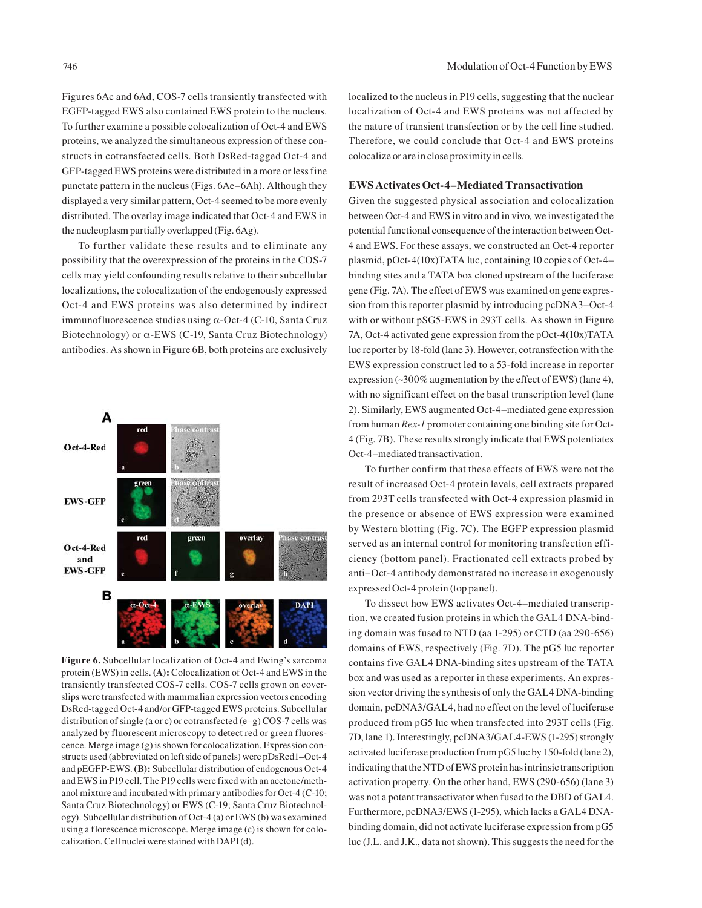Figures 6Ac and 6Ad, COS-7 cells transiently transfected with EGFP-tagged EWS also contained EWS protein to the nucleus. To further examine a possible colocalization of Oct-4 and EWS proteins, we analyzed the simultaneous expression of these constructs in cotransfected cells. Both DsRed-tagged Oct-4 and GFP-tagged EWS proteins were distributed in a more or less fine punctate pattern in the nucleus (Figs. 6Ae–6Ah). Although they displayed a very similar pattern, Oct-4 seemed to be more evenly distributed. The overlay image indicated that Oct-4 and EWS in the nucleoplasm partially overlapped (Fig. 6Ag).

To further validate these results and to eliminate any possibility that the overexpression of the proteins in the COS-7 cells may yield confounding results relative to their subcellular localizations, the colocalization of the endogenously expressed Oct-4 and EWS proteins was also determined by indirect immunofluorescence studies using α-Oct-4 (C-10, Santa Cruz Biotechnology) or α-EWS (C-19, Santa Cruz Biotechnology) antibodies. As shown in Figure 6B, both proteins are exclusively



**Figure 6.** Subcellular localization of Oct-4 and Ewing's sarcoma protein (EWS) in cells. **(A):** Colocalization of Oct-4 and EWS in the transiently transfected COS-7 cells. COS-7 cells grown on coverslips were transfected with mammalian expression vectors encoding DsRed-tagged Oct-4 and/or GFP-tagged EWS proteins. Subcellular distribution of single (a or c) or cotransfected (e–g) COS-7 cells was analyzed by fluorescent microscopy to detect red or green fluorescence. Merge image (g) is shown for colocalization. Expression constructs used (abbreviated on left side of panels) were pDsRed1–Oct-4 and pEGFP-EWS. **(B):** Subcellular distribution of endogenous Oct-4 and EWS in P19 cell. The P19 cells were fixed with an acetone/methanol mixture and incubated with primary antibodies for Oct-4 (C-10; Santa Cruz Biotechnology) or EWS (C-19; Santa Cruz Biotechnology). Subcellular distribution of Oct-4 (a) or EWS (b) was examined using a florescence microscope. Merge image (c) is shown for colocalization. Cell nuclei were stained with DAPI (d).

localized to the nucleus in P19 cells, suggesting that the nuclear localization of Oct-4 and EWS proteins was not affected by the nature of transient transfection or by the cell line studied. Therefore, we could conclude that Oct-4 and EWS proteins colocalize or are in close proximity in cells.

## **EWS Activates Oct-4–Mediated Transactivation**

Given the suggested physical association and colocalization between Oct-4 and EWS in vitro and in vivo*,* we investigated the potential functional consequence of the interaction between Oct-4 and EWS. For these assays, we constructed an Oct-4 reporter plasmid, pOct-4(10x)TATA luc, containing 10 copies of Oct-4– binding sites and a TATA box cloned upstream of the luciferase gene (Fig. 7A). The effect of EWS was examined on gene expression from this reporter plasmid by introducing pcDNA3–Oct-4 with or without pSG5-EWS in 293T cells. As shown in Figure 7A, Oct-4 activated gene expression from the pOct-4(10x)TATA luc reporter by 18-fold (lane 3). However, cotransfection with the EWS expression construct led to a 53-fold increase in reporter expression (~300% augmentation by the effect of EWS) (lane 4), with no significant effect on the basal transcription level (lane 2). Similarly, EWS augmented Oct-4–mediated gene expression from human *Rex-1* promoter containing one binding site for Oct-4 (Fig. 7B). These results strongly indicate that EWS potentiates Oct-4–mediated transactivation.

To further confirm that these effects of EWS were not the result of increased Oct-4 protein levels, cell extracts prepared from 293T cells transfected with Oct-4 expression plasmid in the presence or absence of EWS expression were examined by Western blotting (Fig. 7C). The EGFP expression plasmid served as an internal control for monitoring transfection efficiency (bottom panel). Fractionated cell extracts probed by anti–Oct-4 antibody demonstrated no increase in exogenously expressed Oct-4 protein (top panel).

To dissect how EWS activates Oct-4–mediated transcription, we created fusion proteins in which the GAL4 DNA-binding domain was fused to NTD (aa 1-295) or CTD (aa 290-656) domains of EWS, respectively (Fig. 7D). The pG5 luc reporter contains five GAL4 DNA-binding sites upstream of the TATA box and was used as a reporter in these experiments. An expression vector driving the synthesis of only the GAL4 DNA-binding domain, pcDNA3/GAL4, had no effect on the level of luciferase produced from pG5 luc when transfected into 293T cells (Fig. 7D, lane 1). Interestingly, pcDNA3/GAL4-EWS (1-295) strongly activated luciferase production from pG5 luc by 150-fold (lane 2), indicating that the NTD of EWS protein has intrinsic transcription activation property. On the other hand, EWS (290-656) (lane 3) was not a potent transactivator when fused to the DBD of GAL4. Furthermore, pcDNA3/EWS (1-295), which lacks a GAL4 DNAbinding domain, did not activate luciferase expression from pG5 luc (J.L. and J.K., data not shown). This suggests the need for the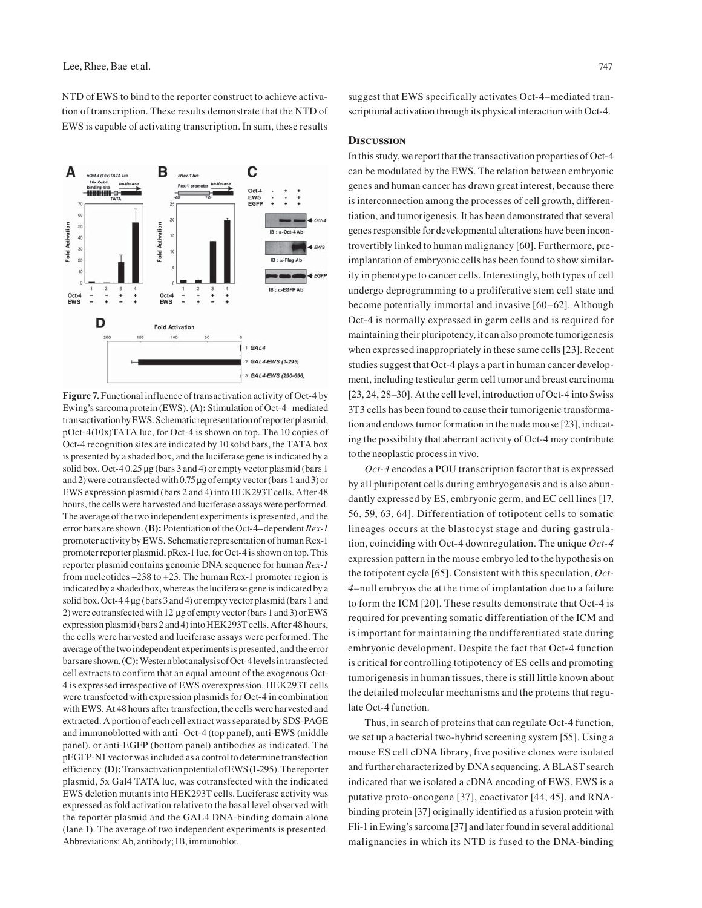NTD of EWS to bind to the reporter construct to achieve activation of transcription. These results demonstrate that the NTD of EWS is capable of activating transcription. In sum, these results



Figure 7. Functional influence of transactivation activity of Oct-4 by Ewing's sarcoma protein (EWS). **(A):** Stimulation of Oct-4–mediated transactivation by EWS.Schematic representation of reporter plasmid, pOct-4(10x)TATA luc, for Oct-4 is shown on top. The 10 copies of Oct-4 recognition sites are indicated by 10 solid bars, the TATA box is presented by a shaded box, and the luciferase gene is indicated by a solid box. Oct-4 0.25 μg (bars 3 and 4) or empty vector plasmid (bars 1 and 2) were cotransfected with 0.75 μg of empty vector (bars 1 and 3) or EWS expression plasmid (bars 2 and 4) into HEK293T cells. After 48 hours, the cells were harvested and luciferase assays were performed. The average of the two independent experiments is presented, and the error bars are shown. **(B):** Potentiation of the Oct-4–dependent *Rex-1* promoter activity by EWS. Schematic representation of human Rex-1 promoter reporter plasmid, pRex-1 luc, for Oct-4 is shown on top. This reporter plasmid contains genomic DNA sequence for human *Rex-1* from nucleotides –238 to +23. The human Rex-1 promoter region is indicated by a shaded box, whereas the luciferase gene is indicated by a solid box. Oct-4 4 μg (bars 3 and 4) or empty vector plasmid (bars 1 and 2) were cotransfected with 12 μg of empty vector (bars 1 and 3) or EWS expression plasmid (bars 2 and 4) into HEK293T cells. After 48 hours, the cells were harvested and luciferase assays were performed. The average of the two independent experiments is presented, and the error bars are shown. **(C):** Western blot analysis of Oct-4 levels in transfected cell extracts to confirm that an equal amount of the exogenous Oct-4 is expressed irrespective of EWS overexpression. HEK293T cells were transfected with expression plasmids for Oct-4 in combination with EWS. At 48 hours after transfection, the cells were harvested and extracted. A portion of each cell extract was separated by SDS-PAGE and immunoblotted with anti–Oct-4 (top panel), anti-EWS (middle panel), or anti-EGFP (bottom panel) antibodies as indicated. The pEGFP-N1 vector was included as a control to determine transfection efficiency. **(D):** Transactivation potential of EWS (1-295). The reporter plasmid, 5x Gal4 TATA luc, was cotransfected with the indicated EWS deletion mutants into HEK293T cells. Luciferase activity was expressed as fold activation relative to the basal level observed with the reporter plasmid and the GAL4 DNA-binding domain alone (lane 1). The average of two independent experiments is presented. Abbreviations: Ab, antibody; IB, immunoblot.

suggest that EWS specifically activates Oct-4–mediated transcriptional activation through its physical interaction with Oct-4.

## **Discussion**

In this study, we report that the transactivation properties of Oct-4 can be modulated by the EWS. The relation between embryonic genes and human cancer has drawn great interest, because there is interconnection among the processes of cell growth, differentiation, and tumorigenesis. It has been demonstrated that several genes responsible for developmental alterations have been incontrovertibly linked to human malignancy [60]. Furthermore, preimplantation of embryonic cells has been found to show similarity in phenotype to cancer cells. Interestingly, both types of cell undergo deprogramming to a proliferative stem cell state and become potentially immortal and invasive [60–62]. Although Oct-4 is normally expressed in germ cells and is required for maintaining their pluripotency, it can also promote tumorigenesis when expressed inappropriately in these same cells [23]. Recent studies suggest that Oct-4 plays a part in human cancer development, including testicular germ cell tumor and breast carcinoma [23, 24, 28–30]. At the cell level, introduction of Oct-4 into Swiss 3T3 cells has been found to cause their tumorigenic transformation and endows tumor formation in the nude mouse [23], indicating the possibility that aberrant activity of Oct-4 may contribute to the neoplastic process in vivo.

*Oct-4* encodes a POU transcription factor that is expressed by all pluripotent cells during embryogenesis and is also abundantly expressed by ES, embryonic germ, and EC cell lines [17, 56, 59, 63, 64]. Differentiation of totipotent cells to somatic lineages occurs at the blastocyst stage and during gastrulation, coinciding with Oct-4 downregulation. The unique *Oct-4* expression pattern in the mouse embryo led to the hypothesis on the totipotent cycle [65]. Consistent with this speculation, *Oct-4–*null embryos die at the time of implantation due to a failure to form the ICM [20]. These results demonstrate that Oct-4 is required for preventing somatic differentiation of the ICM and is important for maintaining the undifferentiated state during embryonic development. Despite the fact that Oct-4 function is critical for controlling totipotency of ES cells and promoting tumorigenesis in human tissues, there is still little known about the detailed molecular mechanisms and the proteins that regulate Oct-4 function.

Thus, in search of proteins that can regulate Oct-4 function, we set up a bacterial two-hybrid screening system [55]. Using a mouse ES cell cDNA library, five positive clones were isolated and further characterized by DNA sequencing. A BLAST search indicated that we isolated a cDNA encoding of EWS. EWS is a putative proto-oncogene [37], coactivator [44, 45], and RNAbinding protein [37] originally identified as a fusion protein with Fli-1 in Ewing's sarcoma [37] and later found in several additional malignancies in which its NTD is fused to the DNA-binding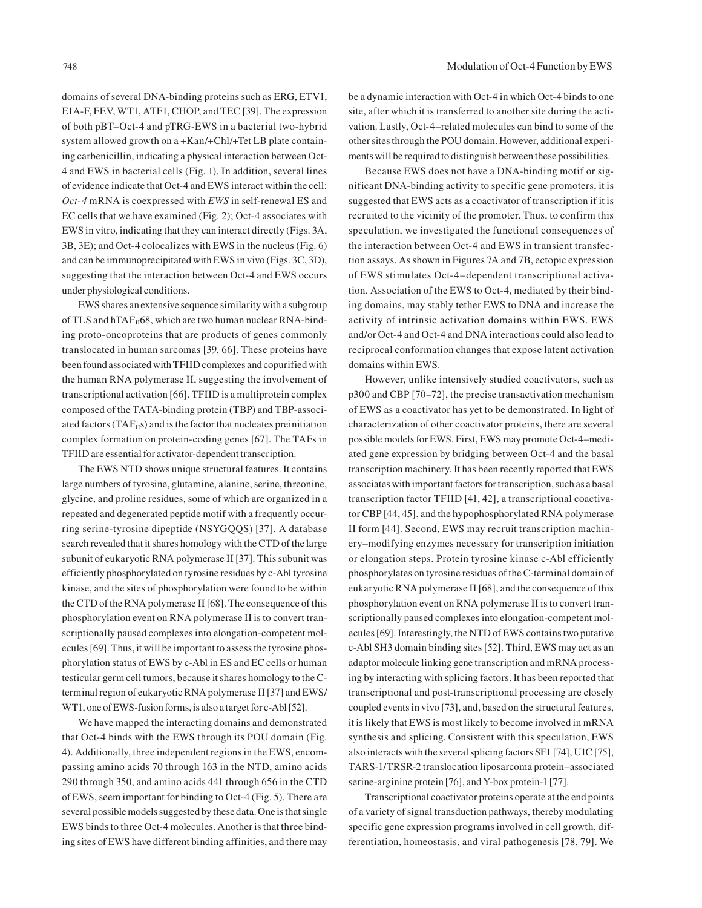domains of several DNA-binding proteins such as ERG, ETV1, E1A-F, FEV, WT1, ATF1, CHOP, and TEC [39]. The expression of both pBT–Oct-4 and pTRG-EWS in a bacterial two-hybrid system allowed growth on a +Kan/+Chl/+Tet LB plate containing carbenicillin, indicating a physical interaction between Oct-4 and EWS in bacterial cells (Fig. 1). In addition, several lines of evidence indicate that Oct-4 and EWS interact within the cell: *Oct-4* mRNA is coexpressed with *EWS* in self-renewal ES and EC cells that we have examined (Fig. 2); Oct-4 associates with EWS in vitro, indicating that they can interact directly (Figs. 3A, 3B, 3E); and Oct-4 colocalizes with EWS in the nucleus (Fig. 6) and can be immunoprecipitated with EWS in vivo (Figs. 3C, 3D), suggesting that the interaction between Oct-4 and EWS occurs under physiological conditions.

EWS shares an extensive sequence similarity with a subgroup of TLS and hTAF $_{II}$ 68, which are two human nuclear RNA-binding proto-oncoproteins that are products of genes commonly translocated in human sarcomas [39, 66]. These proteins have been found associated with TFIID complexes and copurified with the human RNA polymerase II, suggesting the involvement of transcriptional activation [66]. TFIID is a multiprotein complex composed of the TATA-binding protein (TBP) and TBP-associated factors ( $TAF_{II}s$ ) and is the factor that nucleates preinitiation complex formation on protein-coding genes [67]. The TAFs in TFIID are essential for activator-dependent transcription.

The EWS NTD shows unique structural features. It contains large numbers of tyrosine, glutamine, alanine, serine, threonine, glycine, and proline residues, some of which are organized in a repeated and degenerated peptide motif with a frequently occurring serine-tyrosine dipeptide (NSYGQQS) [37]. A database search revealed that it shares homology with the CTD of the large subunit of eukaryotic RNA polymerase II [37]. This subunit was efficiently phosphorylated on tyrosine residues by c-Abl tyrosine kinase, and the sites of phosphorylation were found to be within the CTD of the RNA polymerase II [68]. The consequence of this phosphorylation event on RNA polymerase II is to convert transcriptionally paused complexes into elongation-competent molecules [69]. Thus, it will be important to assess the tyrosine phosphorylation status of EWS by c-Abl in ES and EC cells or human testicular germ cell tumors, because it shares homology to the Cterminal region of eukaryotic RNA polymerase II [37] and EWS/ WT1, one of EWS-fusion forms, is also a target for c-Abl [52].

We have mapped the interacting domains and demonstrated that Oct-4 binds with the EWS through its POU domain (Fig. 4). Additionally, three independent regions in the EWS, encompassing amino acids 70 through 163 in the NTD, amino acids 290 through 350, and amino acids 441 through 656 in the CTD of EWS, seem important for binding to Oct-4 (Fig. 5). There are several possible models suggested by these data. One is that single EWS binds to three Oct-4 molecules. Another is that three binding sites of EWS have different binding affinities, and there may be a dynamic interaction with Oct-4 in which Oct-4 binds to one site, after which it is transferred to another site during the activation. Lastly, Oct-4–related molecules can bind to some of the other sites through the POU domain. However, additional experiments will be required to distinguish between these possibilities.

Because EWS does not have a DNA-binding motif or significant DNA-binding activity to specific gene promoters, it is suggested that EWS acts as a coactivator of transcription if it is recruited to the vicinity of the promoter. Thus, to confirm this speculation, we investigated the functional consequences of the interaction between Oct-4 and EWS in transient transfection assays. As shown in Figures 7A and 7B, ectopic expression of EWS stimulates Oct-4–dependent transcriptional activation. Association of the EWS to Oct-4, mediated by their binding domains, may stably tether EWS to DNA and increase the activity of intrinsic activation domains within EWS. EWS and/or Oct-4 and Oct-4 and DNA interactions could also lead to reciprocal conformation changes that expose latent activation domains within EWS.

However, unlike intensively studied coactivators, such as p300 and CBP [70–72], the precise transactivation mechanism of EWS as a coactivator has yet to be demonstrated. In light of characterization of other coactivator proteins, there are several possible models for EWS. First, EWS may promote Oct-4–mediated gene expression by bridging between Oct-4 and the basal transcription machinery. It has been recently reported that EWS associates with important factors for transcription, such as a basal transcription factor TFIID [41, 42], a transcriptional coactivator CBP [44, 45], and the hypophosphorylated RNA polymerase II form [44]. Second, EWS may recruit transcription machinery–modifying enzymes necessary for transcription initiation or elongation steps. Protein tyrosine kinase c-Abl efficiently phosphorylates on tyrosine residues of the C-terminal domain of eukaryotic RNA polymerase II [68], and the consequence of this phosphorylation event on RNA polymerase II is to convert transcriptionally paused complexes into elongation-competent molecules [69]. Interestingly, the NTD of EWS contains two putative c-Abl SH3 domain binding sites [52]. Third, EWS may act as an adaptor molecule linking gene transcription and mRNA processing by interacting with splicing factors. It has been reported that transcriptional and post-transcriptional processing are closely coupled events in vivo [73], and, based on the structural features, it is likely that EWS is most likely to become involved in mRNA synthesis and splicing. Consistent with this speculation, EWS also interacts with the several splicing factors SF1 [74], U1C [75], TARS-1/TRSR-2 translocation liposarcoma protein–associated serine-arginine protein [76], and Y-box protein-1 [77].

Transcriptional coactivator proteins operate at the end points of a variety of signal transduction pathways, thereby modulating specific gene expression programs involved in cell growth, differentiation, homeostasis, and viral pathogenesis [78, 79]. We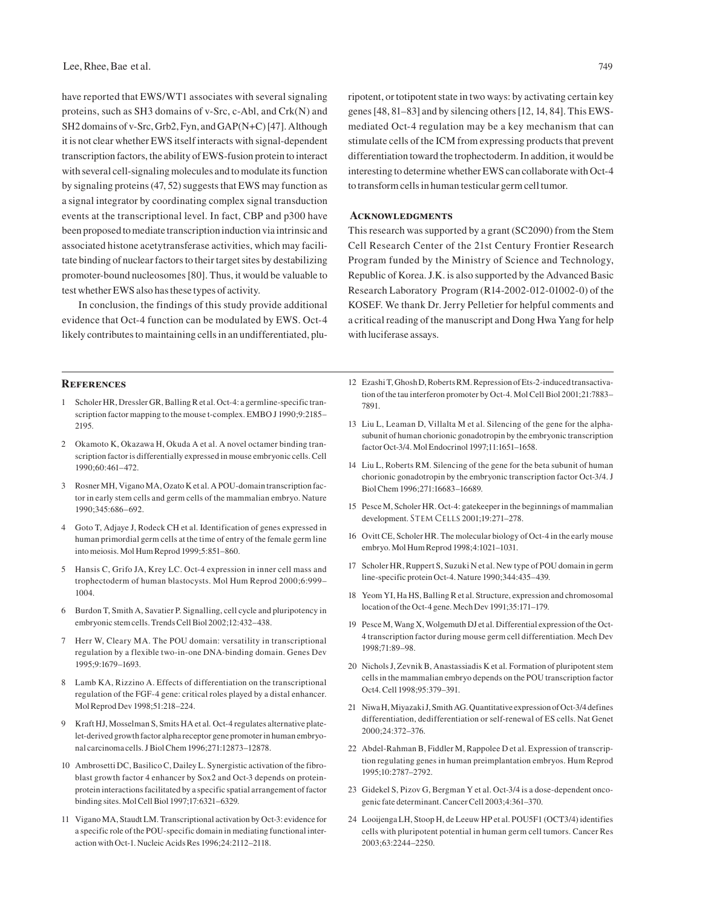have reported that EWS/WT1 associates with several signaling proteins, such as SH3 domains of v-Src, c-Abl, and Crk(N) and SH2 domains of v-Src, Grb2, Fyn, and GAP(N+C) [47]. Although it is not clear whether EWS itself interacts with signal-dependent transcription factors, the ability of EWS-fusion protein to interact with several cell-signaling molecules and to modulate its function by signaling proteins (47, 52) suggests that EWS may function as a signal integrator by coordinating complex signal transduction events at the transcriptional level. In fact, CBP and p300 have been proposed to mediate transcription induction via intrinsic and associated histone acetytransferase activities, which may facilitate binding of nuclear factors to their target sites by destabilizing promoter-bound nucleosomes [80]. Thus, it would be valuable to test whether EWS also has these types of activity.

In conclusion, the findings of this study provide additional evidence that Oct-4 function can be modulated by EWS. Oct-4 likely contributes to maintaining cells in an undifferentiated, plu-

#### **References**

- 1 Scholer HR, Dressler GR, Balling R et al. Oct-4: a germline-specific transcription factor mapping to the mouse t-complex. EMBO J 1990;9:2185– 2195.
- 2 Okamoto K, Okazawa H, Okuda A et al. A novel octamer binding transcription factor is differentially expressed in mouse embryonic cells. Cell 1990;60:461–472.
- 3 Rosner MH, Vigano MA, Ozato K et al. A POU-domain transcription factor in early stem cells and germ cells of the mammalian embryo. Nature 1990;345:686–692.
- 4 Goto T, Adjaye J, Rodeck CH et al. Identification of genes expressed in human primordial germ cells at the time of entry of the female germ line into meiosis. Mol Hum Reprod 1999;5:851–860.
- 5 Hansis C, Grifo JA, Krey LC. Oct-4 expression in inner cell mass and trophectoderm of human blastocysts. Mol Hum Reprod 2000;6:999– 1004.
- 6 Burdon T, Smith A, Savatier P. Signalling, cell cycle and pluripotency in embryonic stem cells. Trends Cell Biol 2002;12:432–438.
- Herr W, Cleary MA. The POU domain: versatility in transcriptional regulation by a flexible two-in-one DNA-binding domain. Genes Dev 1995;9:1679–1693.
- 8 Lamb KA, Rizzino A. Effects of differentiation on the transcriptional regulation of the FGF-4 gene: critical roles played by a distal enhancer. Mol Reprod Dev 1998;51:218–224.
- 9 Kraft HJ, Mosselman S, Smits HA et al*.* Oct-4 regulates alternative platelet-derived growth factor alpha receptor gene promoter in human embryonal carcinoma cells. J Biol Chem 1996;271:12873–12878.
- 10 Ambrosetti DC, Basilico C, Dailey L. Synergistic activation of the fibroblast growth factor 4 enhancer by Sox2 and Oct-3 depends on proteinprotein interactions facilitated by a specific spatial arrangement of factor binding sites. Mol Cell Biol 1997;17:6321–6329.
- 11 Vigano MA, Staudt LM. Transcriptional activation by Oct-3: evidence for a specific role of the POU-specific domain in mediating functional interaction with Oct-1. Nucleic Acids Res 1996;24:2112–2118.

ripotent, or totipotent state in two ways: by activating certain key genes [48, 81–83] and by silencing others [12, 14, 84]. This EWSmediated Oct-4 regulation may be a key mechanism that can stimulate cells of the ICM from expressing products that prevent differentiation toward the trophectoderm. In addition, it would be interesting to determine whether EWS can collaborate with Oct-4 to transform cells in human testicular germ cell tumor.

## **Acknowledgments**

This research was supported by a grant (SC2090) from the Stem Cell Research Center of the 21st Century Frontier Research Program funded by the Ministry of Science and Technology, Republic of Korea. J.K. is also supported by the Advanced Basic Research Laboratory Program (R14-2002-012-01002-0) of the KOSEF. We thank Dr. Jerry Pelletier for helpful comments and a critical reading of the manuscript and Dong Hwa Yang for help with luciferase assays.

- 12 Ezashi T, Ghosh D, Roberts RM. Repression of Ets-2-induced transactivation of the tau interferon promoter by Oct-4. Mol Cell Biol 2001;21:7883– 7891.
- 13 Liu L, Leaman D, Villalta M et al. Silencing of the gene for the alphasubunit of human chorionic gonadotropin by the embryonic transcription factor Oct-3/4. Mol Endocrinol 1997;11:1651–1658.
- 14 Liu L, Roberts RM. Silencing of the gene for the beta subunit of human chorionic gonadotropin by the embryonic transcription factor Oct-3/4. J Biol Chem 1996;271:16683–16689.
- 15 Pesce M, Scholer HR. Oct-4: gatekeeper in the beginnings of mammalian development. STEM CELLS 2001;19:271-278.
- 16 Ovitt CE, Scholer HR. The molecular biology of Oct-4 in the early mouse embryo. Mol Hum Reprod 1998;4:1021–1031.
- 17 Scholer HR, Ruppert S, Suzuki N et al. New type of POU domain in germ line-specific protein Oct-4. Nature 1990;344:435–439.
- 18 Yeom YI, Ha HS, Balling R et al. Structure, expression and chromosomal location of the Oct-4 gene. Mech Dev 1991;35:171–179.
- 19 Pesce M, Wang X, Wolgemuth DJ et al. Differential expression of the Oct-4 transcription factor during mouse germ cell differentiation. Mech Dev 1998;71:89–98.
- 20 Nichols J, Zevnik B, Anastassiadis K et al*.* Formation of pluripotent stem cells in the mammalian embryo depends on the POU transcription factor Oct4. Cell 1998;95:379–391.
- 21 Niwa H, Miyazaki J, Smith AG. Quantitative expression of Oct-3/4 defines differentiation, dedifferentiation or self-renewal of ES cells. Nat Genet 2000;24:372–376.
- 22 Abdel-Rahman B, Fiddler M, Rappolee D et al. Expression of transcription regulating genes in human preimplantation embryos. Hum Reprod 1995;10:2787–2792.
- 23 Gidekel S, Pizov G, Bergman Y et al. Oct-3/4 is a dose-dependent oncogenic fate determinant. Cancer Cell 2003;4:361–370.
- 24 Looijenga LH, Stoop H, de Leeuw HP et al. POU5F1 (OCT3/4) identifies cells with pluripotent potential in human germ cell tumors. Cancer Res 2003;63:2244–2250.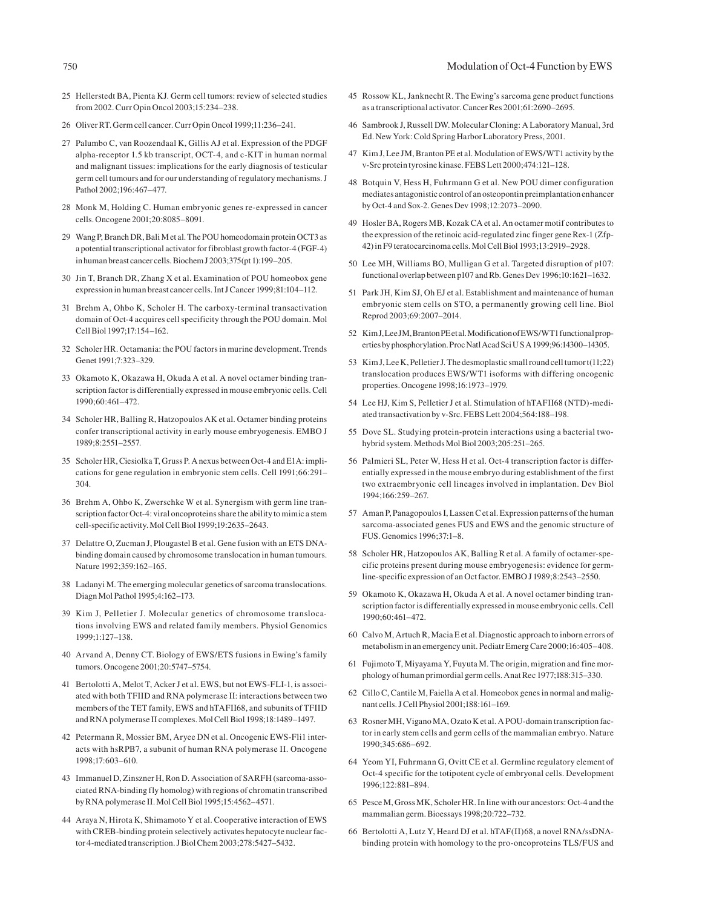#### 750 Modulation of Oct-4 Function by EWS

- 25 Hellerstedt BA, Pienta KJ. Germ cell tumors: review of selected studies from 2002. Curr Opin Oncol 2003;15:234–238.
- 26 Oliver RT. Germ cell cancer. Curr Opin Oncol 1999;11:236–241.
- 27 Palumbo C, van Roozendaal K, Gillis AJ et al. Expression of the PDGF alpha-receptor 1.5 kb transcript, OCT-4, and c-KIT in human normal and malignant tissues: implications for the early diagnosis of testicular germ cell tumours and for our understanding of regulatory mechanisms. J Pathol 2002;196:467–477.
- 28 Monk M, Holding C. Human embryonic genes re-expressed in cancer cells. Oncogene 2001;20:8085–8091.
- 29 Wang P, Branch DR, Bali Met al. The POU homeodomain protein OCT3 as a potential transcriptional activator for fibroblast growth factor-4 (FGF-4) in human breast cancer cells. Biochem J 2003;375(pt 1):199–205.
- 30 Jin T, Branch DR, Zhang X et al. Examination of POU homeobox gene expression in human breast cancer cells. Int J Cancer 1999;81:104–112.
- 31 Brehm A, Ohbo K, Scholer H. The carboxy-terminal transactivation domain of Oct-4 acquires cell specificity through the POU domain. Mol Cell Biol 1997;17:154–162.
- 32 Scholer HR. Octamania: the POU factors in murine development. Trends Genet 1991;7:323–329.
- 33 Okamoto K, Okazawa H, Okuda A et al. A novel octamer binding transcription factor is differentially expressed in mouse embryonic cells. Cell 1990;60:461–472.
- 34 Scholer HR, Balling R, Hatzopoulos AK et al. Octamer binding proteins confer transcriptional activity in early mouse embryogenesis. EMBO J 1989;8:2551–2557.
- 35 Scholer HR, Ciesiolka T, Gruss P. A nexus between Oct-4 and E1A: implications for gene regulation in embryonic stem cells. Cell 1991;66:291– 304.
- 36 Brehm A, Ohbo K, Zwerschke W et al. Synergism with germ line transcription factor Oct-4: viral oncoproteins share the ability to mimic a stem cell-specific activity. Mol Cell Biol 1999;19:2635–2643.
- 37 Delattre O, Zucman J, Plougastel B et al. Gene fusion with an ETS DNAbinding domain caused by chromosome translocation in human tumours. Nature 1992;359:162–165.
- 38 Ladanyi M. The emerging molecular genetics of sarcoma translocations. Diagn Mol Pathol 1995;4:162–173.
- 39 Kim J, Pelletier J. Molecular genetics of chromosome translocations involving EWS and related family members. Physiol Genomics 1999;1:127–138.
- 40 Arvand A, Denny CT. Biology of EWS/ETS fusions in Ewing's family tumors. Oncogene 2001;20:5747–5754.
- 41 Bertolotti A, Melot T, Acker J et al. EWS, but not EWS-FLI-1, is associated with both TFIID and RNA polymerase II: interactions between two members of the TET family, EWS and hTAFII68, and subunits of TFIID and RNA polymerase II complexes. Mol Cell Biol 1998;18:1489–1497.
- 42 Petermann R, Mossier BM, Aryee DN et al. Oncogenic EWS-Fli1 interacts with hsRPB7, a subunit of human RNA polymerase II. Oncogene 1998;17:603–610.
- 43 Immanuel D, Zinszner H, Ron D. Association of SARFH (sarcoma-associated RNA-binding fly homolog) with regions of chromatin transcribed by RNA polymerase II. Mol Cell Biol 1995;15:4562–4571.
- 44 Araya N, Hirota K, Shimamoto Y et al. Cooperative interaction of EWS with CREB-binding protein selectively activates hepatocyte nuclear factor 4-mediated transcription. J Biol Chem 2003;278:5427–5432.
- 45 Rossow KL, Janknecht R. The Ewing's sarcoma gene product functions as a transcriptional activator. Cancer Res 2001;61:2690–2695.
- 46 Sambrook J, Russell DW. Molecular Cloning: A Laboratory Manual, 3rd Ed. New York: Cold Spring Harbor Laboratory Press, 2001.
- 47 Kim J, Lee JM, Branton PE et al. Modulation of EWS/WT1 activity by the v-Src protein tyrosine kinase. FEBS Lett 2000;474:121–128.
- 48 Botquin V, Hess H, Fuhrmann G et al. New POU dimer configuration mediates antagonistic control of an osteopontin preimplantation enhancer by Oct-4 and Sox-2. Genes Dev 1998;12:2073–2090.
- 49 Hosler BA, Rogers MB, Kozak CA et al. An octamer motif contributes to the expression of the retinoic acid-regulated zinc finger gene Rex-1 (Zfp-42) in F9 teratocarcinoma cells. Mol Cell Biol 1993;13:2919–2928.
- 50 Lee MH, Williams BO, Mulligan G et al. Targeted disruption of p107: functional overlap between p107 and Rb. Genes Dev 1996;10:1621–1632.
- 51 Park JH, Kim SJ, Oh EJ et al. Establishment and maintenance of human embryonic stem cells on STO, a permanently growing cell line. Biol Reprod 2003;69:2007–2014.
- 52 Kim J, Lee JM, Branton PE et al. Modification of EWS/WT1 functional properties by phosphorylation. Proc Natl Acad Sci U S A 1999;96:14300–14305.
- 53 Kim J, Lee K, Pelletier J. The desmoplastic small round cell tumor t(11;22) translocation produces EWS/WT1 isoforms with differing oncogenic properties. Oncogene 1998;16:1973–1979.
- 54 Lee HJ, Kim S, Pelletier J et al. Stimulation of hTAFII68 (NTD)-mediated transactivation by v-Src. FEBS Lett 2004;564:188–198.
- 55 Dove SL. Studying protein-protein interactions using a bacterial twohybrid system. Methods Mol Biol 2003;205:251–265.
- 56 Palmieri SL, Peter W, Hess H et al. Oct-4 transcription factor is differentially expressed in the mouse embryo during establishment of the first two extraembryonic cell lineages involved in implantation. Dev Biol 1994;166:259–267.
- 57 Aman P, Panagopoulos I, Lassen C et al. Expression patterns of the human sarcoma-associated genes FUS and EWS and the genomic structure of FUS. Genomics 1996;37:1–8.
- 58 Scholer HR, Hatzopoulos AK, Balling R et al. A family of octamer-specific proteins present during mouse embryogenesis: evidence for germline-specific expression of an Oct factor. EMBO J 1989;8:2543–2550.
- 59 Okamoto K, Okazawa H, Okuda A et al. A novel octamer binding transcription factor is differentially expressed in mouse embryonic cells. Cell 1990;60:461–472.
- 60 Calvo M, Artuch R, Macia E et al. Diagnostic approach to inborn errors of metabolism in an emergency unit. Pediatr Emerg Care 2000;16:405–408.
- 61 Fujimoto T, Miyayama Y, Fuyuta M. The origin, migration and fine morphology of human primordial germ cells. Anat Rec 1977;188:315–330.
- 62 Cillo C, Cantile M, Faiella A et al. Homeobox genes in normal and malignant cells. J Cell Physiol 2001;188:161–169.
- 63 Rosner MH, Vigano MA, Ozato K et al. A POU-domain transcription factor in early stem cells and germ cells of the mammalian embryo. Nature 1990;345:686–692.
- 64 Yeom YI, Fuhrmann G, Ovitt CE et al. Germline regulatory element of Oct-4 specific for the totipotent cycle of embryonal cells. Development 1996;122:881–894.
- 65 Pesce M, Gross MK, Scholer HR. In line with our ancestors: Oct-4 and the mammalian germ. Bioessays 1998;20:722–732.
- 66 Bertolotti A, Lutz Y, Heard DJ et al. hTAF(II)68, a novel RNA/ssDNAbinding protein with homology to the pro-oncoproteins TLS/FUS and